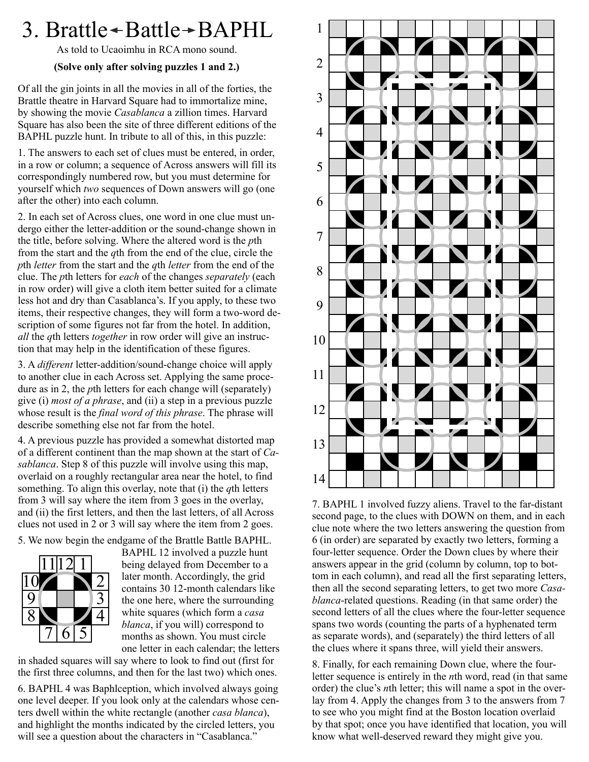# 3. Brattle $\rightarrow$ Battle $\rightarrow$ BAPHL

As told to Ucaoimhu in RCA mono sound.

# **(Solve only after solving puzzles 1 and 2.)**

Of all the gin joints in all the movies in all of the forties, the Brattle theatre in Harvard Square had to immortalize mine, by showing the movie *Casablanca* a zillion times. Harvard Square has also been the site of three different editions of the BAPHL puzzle hunt. In tribute to all of this, in this puzzle:

1. The answers to each set of clues must be entered, in order, in a row or column; a sequence of Across answers will fill its correspondingly numbered row, but you must determine for yourself which *two* sequences of Down answers will go (one after the other) into each column.

2. In each set of Across clues, one word in one clue must undergo either the letter-addition or the sound-change shown in the title, before solving. Where the altered word is the *p*th from the start and the *q*th from the end of the clue, circle the *p*th *letter* from the start and the *q*th *letter* from the end of the clue. The *p*th letters for *each* of the changes *separately* (each in row order) will give a cloth item better suited for a climate less hot and dry than Casablanca's. If you apply, to these two items, their respective changes, they will form a two-word description of some figures not far from the hotel. In addition, *all* the *q*th letters *together* in row order will give an instruction that may help in the identification of these figures.

3. A *different* letter-addition/sound-change choice will apply to another clue in each Across set. Applying the same procedure as in 2, the *p*th letters for each change will (separately) give (i) *most of a phrase*, and (ii) a step in a previous puzzle whose result is the *final word of this phrase*. The phrase will describe something else not far from the hotel.

4. A previous puzzle has provided a somewhat distorted map of a different continent than the map shown at the start of *Casablanca*. Step 8 of this puzzle will involve using this map, overlaid on a roughly rectangular area near the hotel, to find something. To align this overlay, note that (i) the *q*th letters from 3 will say where the item from 3 goes in the overlay, and (ii) the first letters, and then the last letters, of all Across clues not used in 2 or 3 will say where the item from 2 goes.

5. We now begin the endgame of the Brattle Battle BAPHL.



BAPHL 12 involved a puzzle hunt being delayed from December to a later month. Accordingly, the grid contains 30 12-month calendars like the one here, where the surrounding white squares (which form a *casa blanca*, if you will) correspond to months as shown. You must circle one letter in each calendar; the letters

in shaded squares will say where to look to find out (first for the first three columns, and then for the last two) which ones.

6. BAPHL 4 was Baphlception, which involved always going one level deeper. If you look only at the calendars whose centers dwell within the white rectangle (another *casa blanca*), and highlight the months indicated by the circled letters, you will see a question about the characters in "Casablanca."



7. BAPHL 1 involved fuzzy aliens. Travel to the far-distant second page, to the clues with DOWN on them, and in each clue note where the two letters answering the question from 6 (in order) are separated by exactly two letters, forming a four-letter sequence. Order the Down clues by where their answers appear in the grid (column by column, top to bottom in each column), and read all the first separating letters, then all the second separating letters, to get two more *Casablanca*-related questions. Reading (in that same order) the second letters of all the clues where the four-letter sequence spans two words (counting the parts of a hyphenated term as separate words), and (separately) the third letters of all the clues where it spans three, will yield their answers.

8. Finally, for each remaining Down clue, where the fourletter sequence is entirely in the *n*th word, read (in that same order) the clue's *n*th letter; this will name a spot in the overlay from 4. Apply the changes from 3 to the answers from 7 to see who you might find at the Boston location overlaid by that spot; once you have identified that location, you will know what well-deserved reward they might give you.